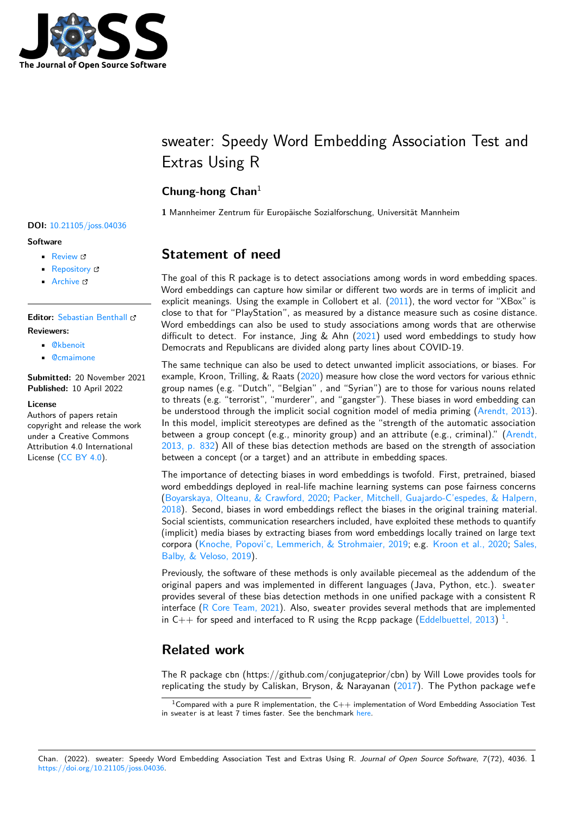

# sweater: Speedy Word Embedding Association Test and Extras Using R

### **Chung-hong Chan**<sup>1</sup>

**1** Mannheimer Zentrum für Europäische Sozialforschung, Universität Mannheim

## **DOI:** [10.21105/joss.04036](https://doi.org/10.21105/joss.04036)

#### **Software**

- [Review](https://github.com/openjournals/joss-reviews/issues/4036) &
- [Repository](https://github.com/chainsawriot/sweater) &
- [Archive](https://doi.org/10.5281/zenodo.6421527) &

#### **Editor:** [Sebastian Benthall](https://sbenthall.net) **Reviewers:**

- [@kbenoit](https://github.com/kbenoit)
- [@cmaimone](https://github.com/cmaimone)

**Submitted:** 20 November 2021 **Published:** 10 April 2022

#### **License**

Authors of papers retain copyright and release the work under a Creative Commons Attribution 4.0 International License [\(CC BY 4.0\)](https://creativecommons.org/licenses/by/4.0/).

### **Statement of need**

The goal of this R package is to detect associations among words in word embedding spaces. Word embeddings can capture how similar or different two words are in terms of implicit and explicit meanings. Using the example in Collobert et al.  $(2011)$ , the word vector for "XBox" is close to that for "PlayStation", as measured by a distance measure such as cosine distance. Word embeddings can also be used to study associations among words that are otherwise difficult to detect. For instance, Jing & Ahn  $(2021)$  used word embeddings to study how Democrats and Republicans are divided along party lines about COVID-19.

The same technique can also be used to detect unwanted implicit associations, or biases. For example, Kroon, Trilling, & Raats [\(2020\)](#page-7-0) measure how close the word vectors for various ethnic group names (e.g. "Dutch", "Belgian" , and "Syrian") are to those for various nouns related to threats (e.g. "terrorist", "murderer", and "gangster"). These biases in word embedding can be understood through the implicit social cognition model of media priming [\(Arendt, 2013\)](#page-6-2). In this model, implicit stereotypes are defined as the "strength of the automatic association between a group concept (e.g., minority group) and an attribute (e.g., criminal)." [\(Arendt,](#page-6-2) [2013, p. 832\)](#page-6-2) All of these bias detection methods are based on the strength of association between a concept (or a target) and an attribute in embedding spaces.

The importance of detecting biases in word embeddings is twofold. First, pretrained, biased word embeddings deployed in real-life machine learning systems can pose fairness concerns [\(Boyarskaya, Olteanu, & Crawford, 2020;](#page-6-3) [Packer, Mitchell, Guajardo-C'espedes, & Halpern,](#page-7-1) [2018\)](#page-7-1). Second, biases in word embeddings reflect the biases in the original training material. Social scientists, communication researchers included, have exploited these methods to quantify (implicit) media biases by extracting biases from word embeddings locally trained on large text corpora [\(Knoche, Popovi'c, Lemmerich, & Strohmaier, 2019;](#page-6-4) e.g. [Kroon et al., 2020;](#page-7-0) [Sales,](#page-7-2) [Balby, & Veloso, 2019\)](#page-7-2).

Previously, the software of these methods is only available piecemeal as the addendum of the original papers and was implemented in different languages (Java, Python, etc.). sweater provides several of these bias detection methods in one unified package with a consistent R interface [\(R Core Team, 2021\)](#page-7-3). Also, sweater provides several methods that are implemented in C++ for speed and interfaced to R using the Rcpp package [\(Eddelbuettel, 2013\)](#page-6-5)<sup>[1](#page-0-0)</sup>.

### **Related work**

The R package cbn (https://github.com/conjugateprior/cbn) by Will Lowe provides tools for replicating the study by Caliskan, Bryson, & Narayanan [\(2017\)](#page-6-6). The Python package wefe

<span id="page-0-0"></span><sup>&</sup>lt;sup>1</sup>Compared with a pure R implementation, the  $C++$  implementation of Word Embedding Association Test in sweater is at least 7 times faster. See the benchmark [here.](https://github.com/chainsawriot/sweater/blob/master/paper/benchmark.md)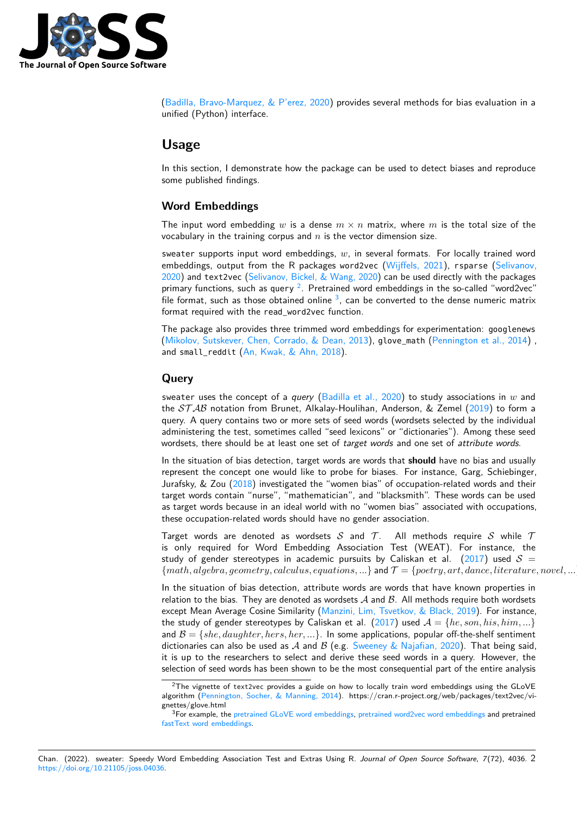

(Badilla, Bravo-Marquez,  $\&$  P'erez, 2020) provides several methods for bias evaluation in a unified (Python) interface.

### **Usage**

In this section, I demonstrate how the package can be used to detect biases and reproduce some published findings.

#### **Word Embeddings**

The input word embedding w is a dense  $m \times n$  matrix, where m is the total size of the vocabulary in the training corpus and  $n$  is the vector dimension size.

sweater supports input word embeddings,  $w$ , in several formats. For locally trained word embeddings, output from the R packages word2vec [\(Wijffels, 2021\)](#page-7-4), rsparse [\(Selivanov,](#page-7-5) [2020\)](#page-7-5) and text2vec [\(Selivanov, Bickel, & Wang, 2020\)](#page-7-6) can be used directly with the packages primary functions, such as query  $^2$  $^2$ . Pretrained word embeddings in the so-called "word2vec" file format, such as those obtained online  $3$ , can be converted to the dense numeric matrix format required with the read\_word2vec function.

The package also provides three trimmed word embeddings for experimentation: googlenews [\(Mikolov, Sutskever, Chen, Corrado, & Dean, 2013\)](#page-7-7), glove\_math [\(Pennington et al., 2014\)](#page-7-8) , and small\_reddit [\(An, Kwak, & Ahn, 2018\)](#page-6-8).

#### **Query**

sweater uses the concept of a query [\(Badilla et al., 2020\)](#page-6-7) to study associations in  $w$  and the  $STAB$  notation from Brunet, Alkalay-Houlihan, Anderson, & Zemel [\(2019\)](#page-6-9) to form a query. A query contains two or more sets of seed words (wordsets selected by the individual administering the test, sometimes called "seed lexicons" or "dictionaries"). Among these seed wordsets, there should be at least one set of target words and one set of attribute words.

In the situation of bias detection, target words are words that **should** have no bias and usually represent the concept one would like to probe for biases. For instance, Garg, Schiebinger, Jurafsky, & Zou [\(2018\)](#page-6-10) investigated the "women bias" of occupation-related words and their target words contain "nurse", "mathematician", and "blacksmith". These words can be used as target words because in an ideal world with no "women bias" associated with occupations, these occupation-related words should have no gender association.

Target words are denoted as wordsets  $S$  and  $T$ . All methods require  $S$  while  $T$ is only required for Word Embedding Association Test (WEAT). For instance, the study of gender stereotypes in academic pursuits by Caliskan et al.  $(2017)$  used  $S =$  ${math, algebra, geometry, calculus, equations, \ldots}$  and  $\mathcal{T} = {poetry, art, dance, literature, novel, \ldots}$ 

In the situation of bias detection, attribute words are words that have known properties in relation to the bias. They are denoted as wordsets  $A$  and  $B$ . All methods require both wordsets except Mean Average Cosine Similarity [\(Manzini, Lim, Tsvetkov, & Black, 2019\)](#page-7-9). For instance, the study of gender stereotypes by Caliskan et al. [\(2017\)](#page-6-6) used  $A = \{he, son, his, him, ...\}$ and  $\mathcal{B} = \{she, daughter, hers, her, ...\}$ . In some applications, popular off-the-shelf sentiment dictionaries can also be used as A and B (e.g. [Sweeney & Najafian, 2020\)](#page-7-10). That being said, it is up to the researchers to select and derive these seed words in a query. However, the selection of seed words has been shown to be the most consequential part of the entire analysis

<span id="page-1-0"></span><sup>&</sup>lt;sup>2</sup>The vignette of text2vec provides a guide on how to locally train word embeddings using the GLoVE algorithm [\(Pennington, Socher, & Manning, 2014\)](#page-7-8). https://cran.r-project.org/web/packages/text2vec/vignettes/glove.html

<span id="page-1-1"></span><sup>&</sup>lt;sup>3</sup>For example, the [pretrained GLoVE word embeddings,](https://nlp.stanford.edu/projects/glove/) [pretrained word2vec word embeddings](https://wikipedia2vec.github.io/wikipedia2vec/pretrained/) and pretrained [fastText word embeddings.](https://fasttext.cc/docs/en/english-vectors.html)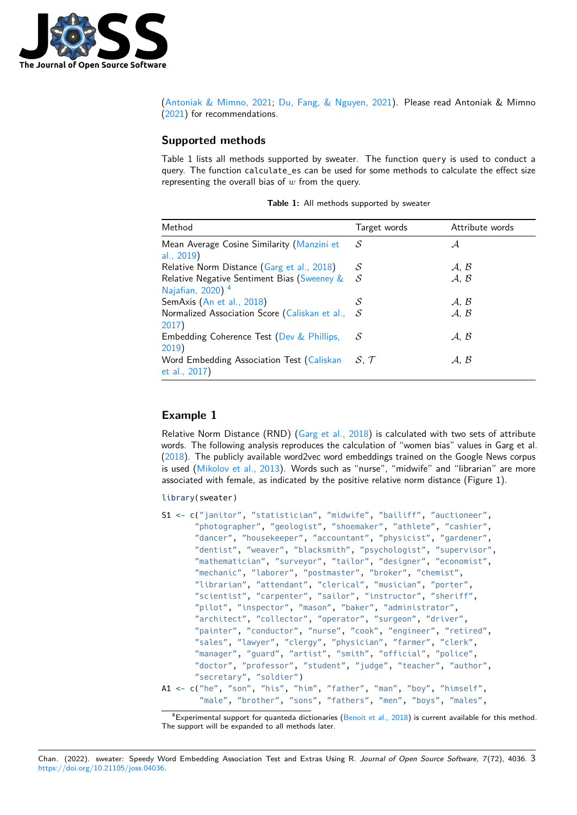

[\(Antoniak & Mimno, 2021;](#page-6-11) [Du, Fang, & Nguyen, 2021\)](#page-6-12). Please read Antoniak & Mimno [\(2021\)](#page-6-11) for recommendations.

#### **Supported methods**

Table 1 lists all methods supported by sweater. The function query is used to conduct a query. The function calculate es can be used for some methods to calculate the effect size representing the overall bias of  $w$  from the query.

| Method                                                                      | Target words    | Attribute words            |
|-----------------------------------------------------------------------------|-----------------|----------------------------|
| Mean Average Cosine Similarity (Manzini et<br>al., 2019)                    | S               | А                          |
| Relative Norm Distance (Garg et al., 2018)                                  | S               | $\mathcal{A}, \mathcal{B}$ |
| Relative Negative Sentiment Bias (Sweeney &<br>Najafian, 2020) <sup>4</sup> | S               | A, B                       |
| SemAxis (An et al., 2018)                                                   | S               | A, B                       |
| Normalized Association Score (Caliskan et al.,<br>2017)                     | S               | A, B                       |
| Embedding Coherence Test (Dev & Phillips,<br>2019)                          | S               | A. B                       |
| Word Embedding Association Test (Caliskan<br>et al., 2017)                  | $S \mathcal{T}$ | A. B                       |

|  |  |  | Table 1: All methods supported by sweater |  |  |
|--|--|--|-------------------------------------------|--|--|
|--|--|--|-------------------------------------------|--|--|

### **Example 1**

Relative Norm Distance (RND) [\(Garg et al., 2018\)](#page-6-10) is calculated with two sets of attribute words. The following analysis reproduces the calculation of "women bias" values in Garg et al. [\(2018\)](#page-6-10). The publicly available word2vec word embeddings trained on the Google News corpus is used [\(Mikolov et al., 2013\)](#page-7-7). Words such as "nurse", "midwife" and "librarian" are more associated with female, as indicated by the positive relative norm distance (Figure 1).

#### library(sweater)

```
S1 <- c("janitor", "statistician", "midwife", "bailiff", "auctioneer",
       "photographer", "geologist", "shoemaker", "athlete", "cashier",
       "dancer", "housekeeper", "accountant", "physicist", "gardener",
       "dentist", "weaver", "blacksmith", "psychologist", "supervisor",
       "mathematician", "surveyor", "tailor", "designer", "economist",
       "mechanic", "laborer", "postmaster", "broker", "chemist",
       "librarian", "attendant", "clerical", "musician", "porter",
       "scientist", "carpenter", "sailor", "instructor", "sheriff",
       "pilot", "inspector", "mason", "baker", "administrator",
       "architect", "collector", "operator", "surgeon", "driver",
       "painter", "conductor", "nurse", "cook", "engineer", "retired",
       "sales", "lawyer", "clergy", "physician", "farmer", "clerk",
       "manager", "guard", "artist", "smith", "official", "police",
       "doctor", "professor", "student", "judge", "teacher", "author",
       "secretary", "soldier")
A1 <- c("he", "son", "his", "him", "father", "man", "boy", "himself",
        "male", "brother", "sons", "fathers", "men", "boys", "males",
```
 $4$ Experimental support for quanteda dictionaries [\(Benoit et al., 2018\)](#page-6-14) is current available for this method. The support will be expanded to all methods later.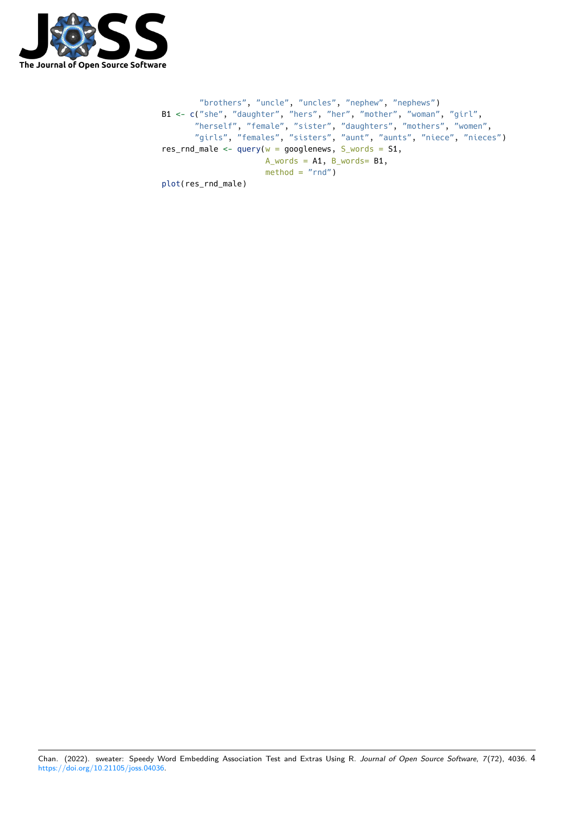

```
"brothers", "uncle", "uncles", "nephew", "nephews")
B1 <- c("she", "daughter", "hers", "her", "mother", "woman", "girl",
       "herself", "female", "sister", "daughters", "mothers", "women",
       "girls", "females", "sisters", "aunt", "aunts", "niece", "nieces")
res_rnd_male <- query(w = goodenews, S_words = S1,
                     A_ words = A1, B_ words= B1,
                     method = "rnd")plot(res_rnd_male)
```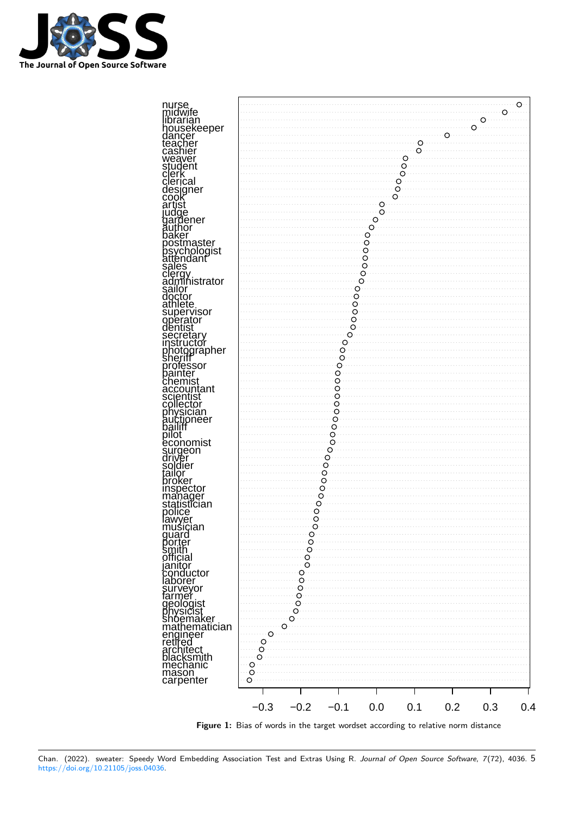



**Figure 1:** Bias of words in the target wordset according to relative norm distance

Chan. (2022). sweater: Speedy Word Embedding Association Test and Extras Using R. Journal of Open Source Software, 7(72), 4036. 5 [https://doi.org/10.21105/joss.04036.](https://doi.org/10.21105/joss.04036)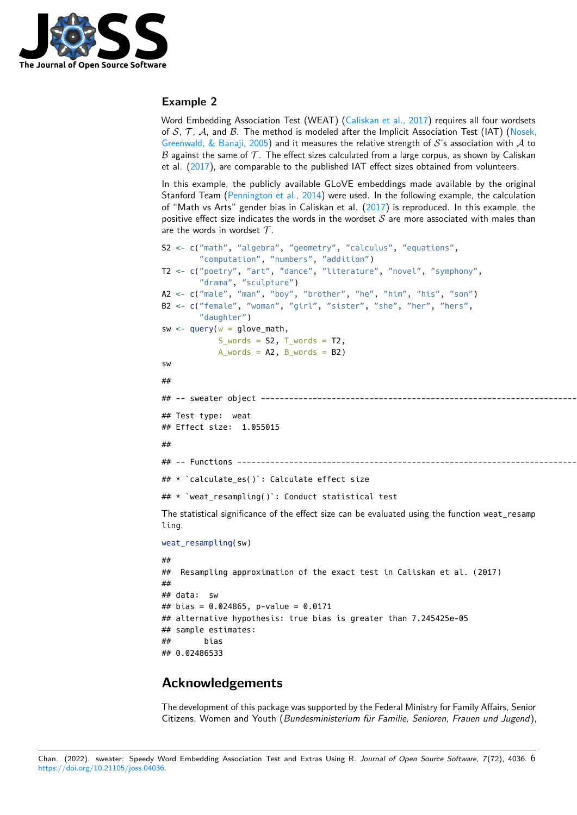

#### **Example 2**

Word Embedding Association Test (WEAT) [\(Caliskan et al., 2017\)](#page-6-6) requires all four wordsets of S, T, A, and B. The method is modeled after the Implicit Association Test (IAT) [\(Nosek,](#page-7-12) [Greenwald, & Banaji, 2005\)](#page-7-12) and it measures the relative strength of  $S$ 's association with  $A$  to  $\beta$  against the same of  $\mathcal T$ . The effect sizes calculated from a large corpus, as shown by Caliskan et al. [\(2017\)](#page-6-6), are comparable to the published IAT effect sizes obtained from volunteers.

In this example, the publicly available GLoVE embeddings made available by the original Stanford Team [\(Pennington et al., 2014\)](#page-7-8) were used. In the following example, the calculation of "Math vs Arts" gender bias in Caliskan et al.  $(2017)$  is reproduced. In this example, the positive effect size indicates the words in the wordset  $S$  are more associated with males than are the words in wordset  $\mathcal{T}$ .

```
S2 <- c("math", "algebra", "geometry", "calculus", "equations",
         "computation", "numbers", "addition")
T2 <- c("poetry", "art", "dance", "literature", "novel", "symphony",
         "drama", "sculpture")
A2 <- c("male", "man", "boy", "brother", "he", "him", "his", "son")
B2 <- c("female", "woman", "girl", "sister", "she", "her", "hers",
         "daughter")
sw \leq query(w = qlove \text{ mod } n),
              S_ words = S_2, T_ words = T_2,
              A_ words = A2, B_ words = B2)
sw
##
## -- sweater object ------------------------------------------------------------------------------------------------------------------------------------------
## Test type: weat
## Effect size: 1.055015
##
## -- Functions -----------------------------------------------------------------------------------------------------------------------------------------------
## * `calculate_es()`: Calculate effect size
## * `weat resampling()`: Conduct statistical test
The statistical significance of the effect size can be evaluated using the function weat resamp
ling.
weat_resampling(sw)
##
## Resampling approximation of the exact test in Caliskan et al. (2017)
##
## data: sw
## bias = 0.024865, p-value = 0.0171
## alternative hypothesis: true bias is greater than 7.245425e-05
## sample estimates:
## bias
```
## 0.02486533

### **Acknowledgements**

The development of this package was supported by the Federal Ministry for Family Affairs, Senior Citizens, Women and Youth (Bundesministerium für Familie, Senioren, Frauen und Jugend),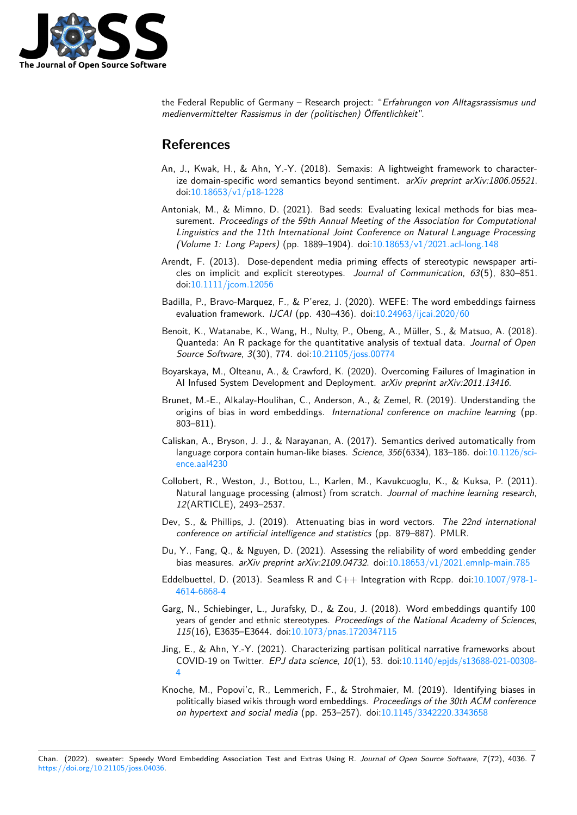

the Federal Republic of Germany – Research project: "Erfahrungen von Alltagsrassismus und medienvermittelter Rassismus in der (politischen) Öffentlichkeit".

### **References**

- <span id="page-6-8"></span>An, J., Kwak, H., & Ahn, Y.-Y. (2018). Semaxis: A lightweight framework to characterize domain-specific word semantics beyond sentiment.  $arXiv$  preprint  $arXiv:1806.05521$ . doi[:10.18653/v1/p18-1228](https://doi.org/10.18653/v1/p18-1228)
- <span id="page-6-11"></span>Antoniak, M., & Mimno, D. (2021). Bad seeds: Evaluating lexical methods for bias measurement. Proceedings of the 59th Annual Meeting of the Association for Computational Linguistics and the 11th International Joint Conference on Natural Language Processing (Volume 1: Long Papers) (pp. 1889–1904). doi[:10.18653/v1/2021.acl-long.148](https://doi.org/10.18653/v1/2021.acl-long.148)
- <span id="page-6-2"></span>Arendt, F. (2013). Dose-dependent media priming effects of stereotypic newspaper articles on implicit and explicit stereotypes. Journal of Communication, 63(5), 830–851. doi[:10.1111/jcom.12056](https://doi.org/10.1111/jcom.12056)
- <span id="page-6-7"></span>Badilla, P., Bravo-Marquez, F., & P'erez, J. (2020). WEFE: The word embeddings fairness evaluation framework. IJCAI (pp. 430–436). doi[:10.24963/ijcai.2020/60](https://doi.org/10.24963/ijcai.2020/60)
- <span id="page-6-14"></span>Benoit, K., Watanabe, K., Wang, H., Nulty, P., Obeng, A., Müller, S., & Matsuo, A. (2018). Quanteda: An R package for the quantitative analysis of textual data. Journal of Open Source Software, 3(30), 774. doi[:10.21105/joss.00774](https://doi.org/10.21105/joss.00774)
- <span id="page-6-3"></span>Boyarskaya, M., Olteanu, A., & Crawford, K. (2020). Overcoming Failures of Imagination in AI Infused System Development and Deployment. arXiv preprint arXiv:2011.13416.
- <span id="page-6-9"></span>Brunet, M.-E., Alkalay-Houlihan, C., Anderson, A., & Zemel, R. (2019). Understanding the origins of bias in word embeddings. International conference on machine learning (pp. 803–811).
- <span id="page-6-6"></span>Caliskan, A., Bryson, J. J., & Narayanan, A. (2017). Semantics derived automatically from language corpora contain human-like biases. Science, 356(6334), 183–186. doi[:10.1126/sci](https://doi.org/10.1126/science.aal4230)[ence.aal4230](https://doi.org/10.1126/science.aal4230)
- <span id="page-6-0"></span>Collobert, R., Weston, J., Bottou, L., Karlen, M., Kavukcuoglu, K., & Kuksa, P. (2011). Natural language processing (almost) from scratch. Journal of machine learning research, 12(ARTICLE), 2493–2537.
- <span id="page-6-13"></span>Dev, S., & Phillips, J. (2019). Attenuating bias in word vectors. The 22nd international conference on artificial intelligence and statistics (pp. 879–887). PMLR.
- <span id="page-6-12"></span>Du, Y., Fang, Q., & Nguyen, D. (2021). Assessing the reliability of word embedding gender bias measures. arXiv preprint arXiv:2109.04732. doi[:10.18653/v1/2021.emnlp-main.785](https://doi.org/10.18653/v1/2021.emnlp-main.785)
- <span id="page-6-5"></span>Eddelbuettel, D. (2013). Seamless R and  $C_{++}$  Integration with Rcpp. doi[:10.1007/978-1-](https://doi.org/10.1007/978-1-4614-6868-4) [4614-6868-4](https://doi.org/10.1007/978-1-4614-6868-4)
- <span id="page-6-10"></span>Garg, N., Schiebinger, L., Jurafsky, D., & Zou, J. (2018). Word embeddings quantify 100 years of gender and ethnic stereotypes. Proceedings of the National Academy of Sciences, 115(16), E3635–E3644. doi[:10.1073/pnas.1720347115](https://doi.org/10.1073/pnas.1720347115)
- <span id="page-6-1"></span>Jing, E., & Ahn, Y.-Y. (2021). Characterizing partisan political narrative frameworks about COVID-19 on Twitter. EPJ data science, 10(1), 53. doi[:10.1140/epjds/s13688-021-00308-](https://doi.org/10.1140/epjds/s13688-021-00308-4) [4](https://doi.org/10.1140/epjds/s13688-021-00308-4)
- <span id="page-6-4"></span>Knoche, M., Popovi'c, R., Lemmerich, F., & Strohmaier, M. (2019). Identifying biases in politically biased wikis through word embeddings. Proceedings of the 30th ACM conference on hypertext and social media (pp. 253–257). doi[:10.1145/3342220.3343658](https://doi.org/10.1145/3342220.3343658)